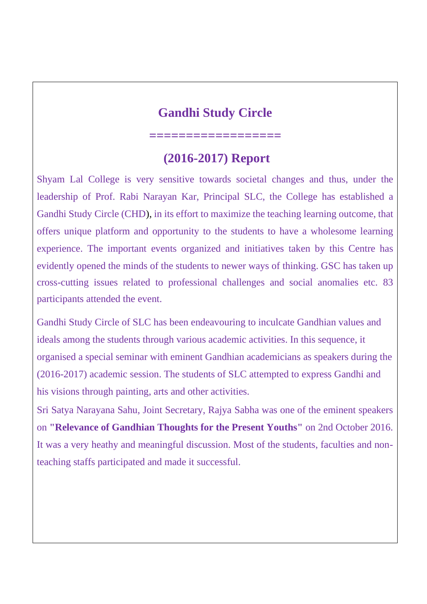## **Gandhi Study Circle**

<del>===================</del>==

## **(2016-2017) Report**

Shyam Lal College is very sensitive towards societal changes and thus, under the leadership of Prof. Rabi Narayan Kar, Principal SLC, the College has established a Gandhi Study Circle (CHD), in its effort to maximize the teaching learning outcome, that offers unique platform and opportunity to the students to have a wholesome learning experience. The important events organized and initiatives taken by this Centre has evidently opened the minds of the students to newer ways of thinking. GSC has taken up cross-cutting issues related to professional challenges and social anomalies etc. 83 participants attended the event.

Gandhi Study Circle of SLC has been endeavouring to inculcate Gandhian values and ideals among the students through various academic activities. In this sequence, it organised a special seminar with eminent Gandhian academicians as speakers during the (2016-2017) academic session. The students of SLC attempted to express Gandhi and his visions through painting, arts and other activities.

Sri Satya Narayana Sahu, Joint Secretary, Rajya Sabha was one of the eminent speakers on **"Relevance of Gandhian Thoughts for the Present Youths"** on 2nd October 2016. It was a very heathy and meaningful discussion. Most of the students, faculties and nonteaching staffs participated and made it successful.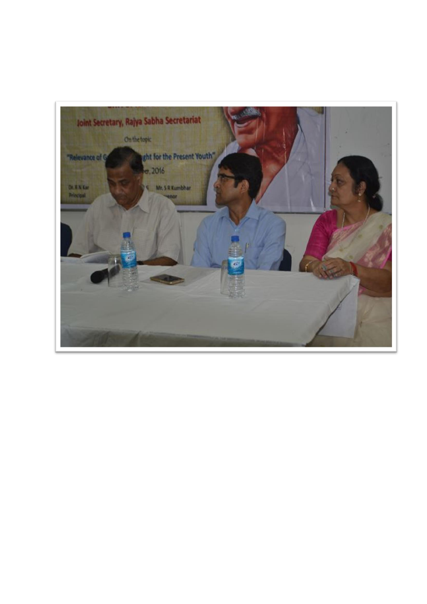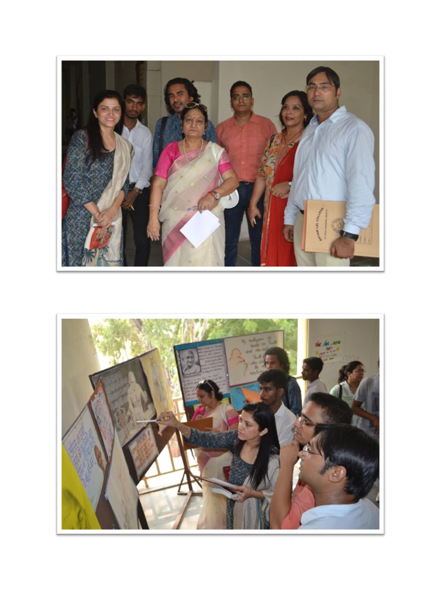